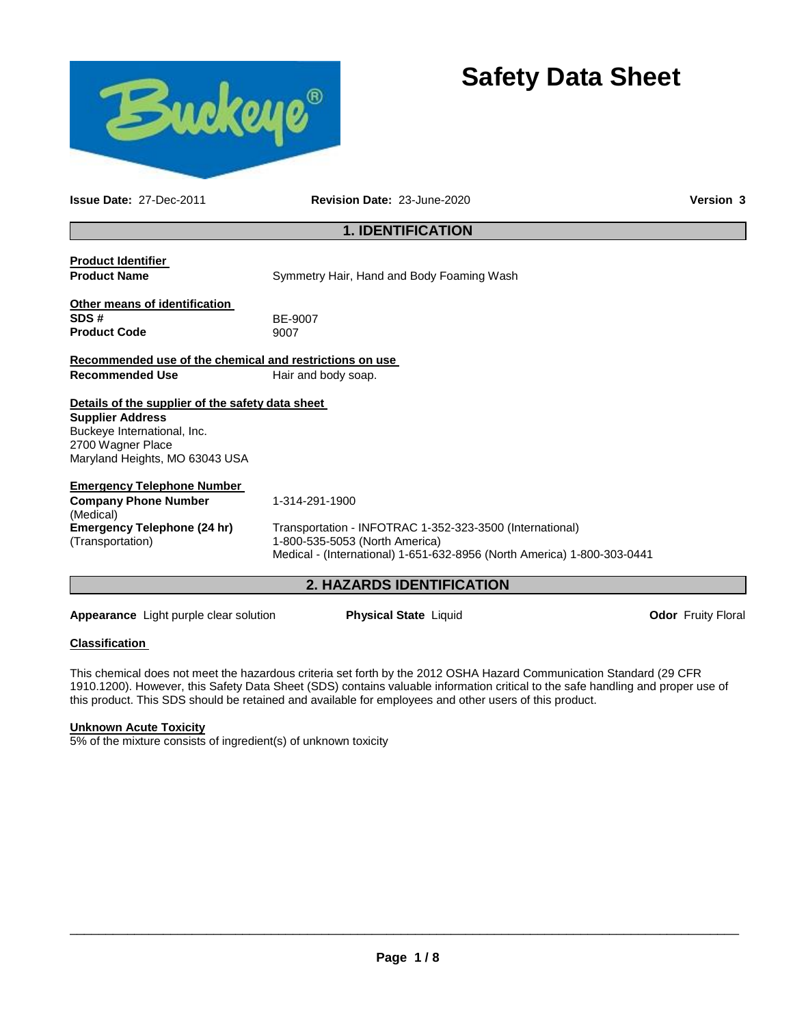

# **Safety Data Sheet**

**Issue Date:** 27-Dec-2011 **Revision Date:** 23-June-2020 **Version 3**

# **1. IDENTIFICATION**

**Product Identifier** 

**Product Name Symmetry Hair, Hand and Body Foaming Wash** 

| Other means of identification |              |
|-------------------------------|--------------|
| SDS#                          | <b>BE-90</b> |
| <b>Product Code</b>           | 9007         |

**SDS #** BE-9007

**Recommended use of the chemical and restrictions on use Recommended Use**  Hair and body soap.

# **Details of the supplier of the safety data sheet**

**Supplier Address** Buckeye International, Inc. 2700 Wagner Place Maryland Heights, MO 63043 USA

| <b>Emergency Telephone Number</b>  |               |
|------------------------------------|---------------|
| <b>Company Phone Number</b>        | $1 - 314 - 2$ |
| (Medical)                          |               |
| <b>Emergency Telephone (24 hr)</b> | Transp        |

291-1900

Transportation - INFOTRAC 1-352-323-3500 (International) 1-800-535-5053 (North America) Medical - (International) 1-651-632-8956 (North America) 1-800-303-0441

# **2. HAZARDS IDENTIFICATION**

**Appearance** Light purple clear solution **Physical State** Liquid **Department Convention Odor Fruity Floral** 

## **Classification**

(Transportation)

This chemical does not meet the hazardous criteria set forth by the 2012 OSHA Hazard Communication Standard (29 CFR 1910.1200). However, this Safety Data Sheet (SDS) contains valuable information critical to the safe handling and proper use of this product. This SDS should be retained and available for employees and other users of this product.

## **Unknown Acute Toxicity**

5% of the mixture consists of ingredient(s) of unknown toxicity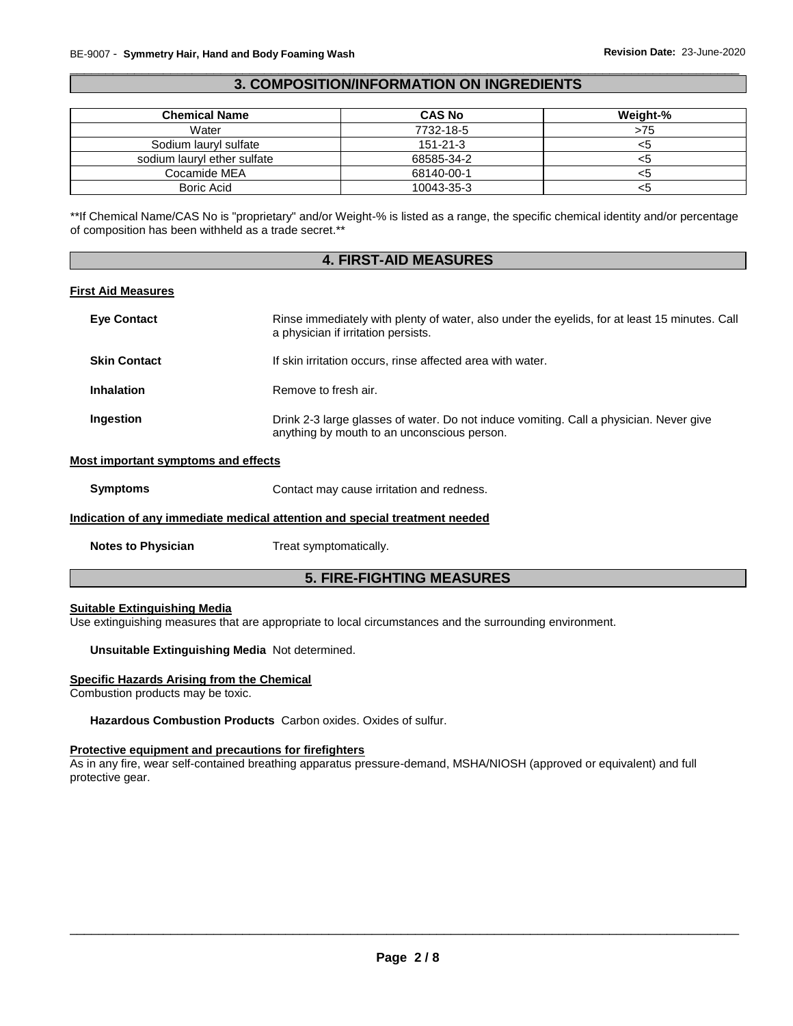# \_\_\_\_\_\_\_\_\_\_\_\_\_\_\_\_\_\_\_\_\_\_\_\_\_\_\_\_\_\_\_\_\_\_\_\_\_\_\_\_\_\_\_\_\_\_\_\_\_\_\_\_\_\_\_\_\_\_\_\_\_\_\_\_\_\_\_\_\_\_\_\_\_\_\_\_\_\_\_\_\_\_\_\_\_\_\_\_\_\_\_\_\_ **3. COMPOSITION/INFORMATION ON INGREDIENTS**

| <b>Chemical Name</b>        | <b>CAS No</b>  | Weight-% |
|-----------------------------|----------------|----------|
| Water                       | 7732-18-5      | >75      |
| Sodium lauryl sulfate       | $151 - 21 - 3$ |          |
| sodium lauryl ether sulfate | 68585-34-2     |          |
| Cocamide MEA                | 68140-00-1     |          |
| Boric Acid                  | 10043-35-3     |          |

\*\*If Chemical Name/CAS No is "proprietary" and/or Weight-% is listed as a range, the specific chemical identity and/or percentage of composition has been withheld as a trade secret.\*\*

# **4. FIRST-AID MEASURES**

# **First Aid Measures**

| <b>Eye Contact</b>  | Rinse immediately with plenty of water, also under the eyelids, for at least 15 minutes. Call<br>a physician if irritation persists.  |
|---------------------|---------------------------------------------------------------------------------------------------------------------------------------|
| <b>Skin Contact</b> | If skin irritation occurs, rinse affected area with water.                                                                            |
| <b>Inhalation</b>   | Remove to fresh air.                                                                                                                  |
| Ingestion           | Drink 2-3 large glasses of water. Do not induce vomiting. Call a physician. Never give<br>anything by mouth to an unconscious person. |

#### **Most important symptoms and effects**

| <b>Symptoms</b> | Contact may cause irritation and redness. |
|-----------------|-------------------------------------------|
|-----------------|-------------------------------------------|

## **Indication of any immediate medical attention and special treatment needed**

**Notes to Physician Treat symptomatically.** 

# **5. FIRE-FIGHTING MEASURES**

#### **Suitable Extinguishing Media**

Use extinguishing measures that are appropriate to local circumstances and the surrounding environment.

# **Unsuitable Extinguishing Media** Not determined.

#### **Specific Hazards Arising from the Chemical**

Combustion products may be toxic.

**Hazardous Combustion Products** Carbon oxides. Oxides of sulfur.

# **Protective equipment and precautions for firefighters**

As in any fire, wear self-contained breathing apparatus pressure-demand, MSHA/NIOSH (approved or equivalent) and full protective gear.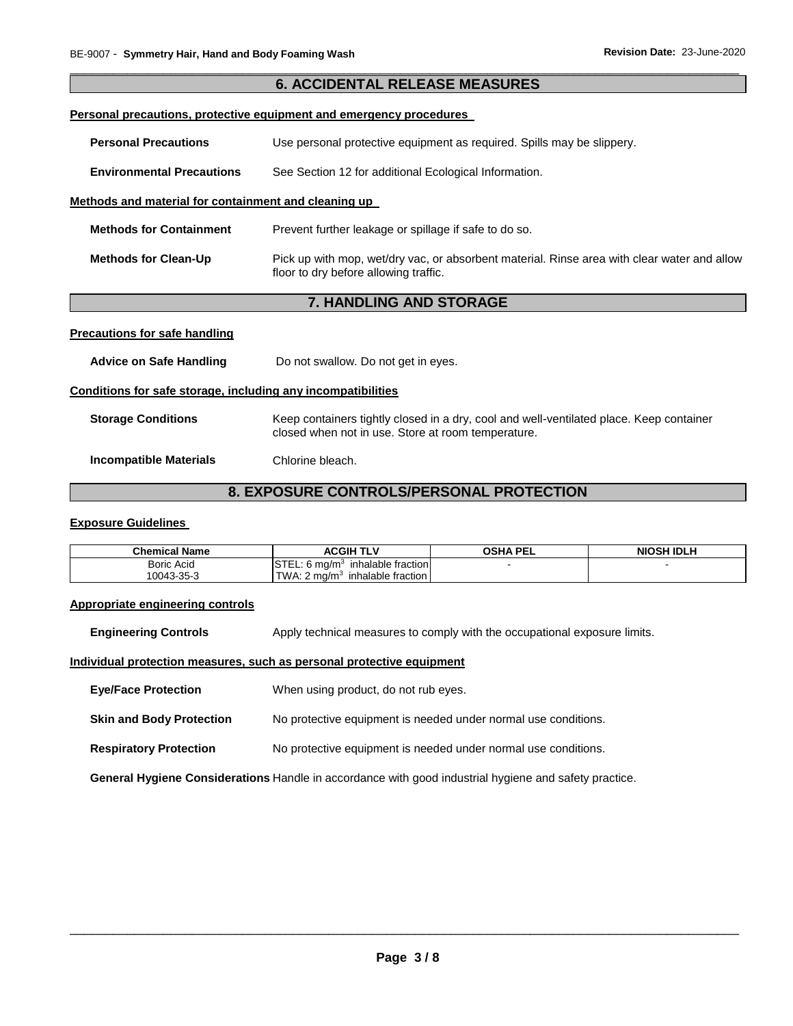|                                                              | <b>6. ACCIDENTAL RELEASE MEASURES</b>                                                                                                         |  |
|--------------------------------------------------------------|-----------------------------------------------------------------------------------------------------------------------------------------------|--|
|                                                              | <u>Personal precautions, protective equipment and emergency procedures</u>                                                                    |  |
| <b>Personal Precautions</b>                                  | Use personal protective equipment as required. Spills may be slippery.                                                                        |  |
| <b>Environmental Precautions</b>                             | See Section 12 for additional Ecological Information.                                                                                         |  |
| Methods and material for containment and cleaning up         |                                                                                                                                               |  |
| <b>Methods for Containment</b>                               | Prevent further leakage or spillage if safe to do so.                                                                                         |  |
| <b>Methods for Clean-Up</b>                                  | Pick up with mop, wet/dry vac, or absorbent material. Rinse area with clear water and allow<br>floor to dry before allowing traffic.          |  |
|                                                              |                                                                                                                                               |  |
|                                                              | <b>7. HANDLING AND STORAGE</b>                                                                                                                |  |
| <b>Precautions for safe handling</b>                         |                                                                                                                                               |  |
| <b>Advice on Safe Handling</b>                               | Do not swallow. Do not get in eyes.                                                                                                           |  |
| Conditions for safe storage, including any incompatibilities |                                                                                                                                               |  |
| <b>Storage Conditions</b>                                    | Keep containers tightly closed in a dry, cool and well-ventilated place. Keep container<br>closed when not in use. Store at room temperature. |  |

\_\_\_\_\_\_\_\_\_\_\_\_\_\_\_\_\_\_\_\_\_\_\_\_\_\_\_\_\_\_\_\_\_\_\_\_\_\_\_\_\_\_\_\_\_\_\_\_\_\_\_\_\_\_\_\_\_\_\_\_\_\_\_\_\_\_\_\_\_\_\_\_\_\_\_\_\_\_\_\_\_\_\_\_\_\_\_\_\_\_\_\_\_

# **8. EXPOSURE CONTROLS/PERSONAL PROTECTION**

# **Exposure Guidelines**

| <b>Chemical Name</b> | <b>ACGIH TLV</b>                               | <b>OSHA PEL</b> | <b>NIOSH IDLH</b> |
|----------------------|------------------------------------------------|-----------------|-------------------|
| <b>Boric Acid</b>    | <b>ISTEL:</b><br>inhalable fraction<br>o`ma/m∘ |                 |                   |
| 10043-35-3           | TWA: $2 \text{ ma/m}^3$<br>inhalable fraction  |                 |                   |

#### **Appropriate engineering controls**

**Engineering Controls** Apply technical measures to comply with the occupational exposure limits.

# **Individual protection measures, such as personal protective equipment**

| <b>Eye/Face Protection</b>      | When using product, do not rub eyes.                           |
|---------------------------------|----------------------------------------------------------------|
| <b>Skin and Body Protection</b> | No protective equipment is needed under normal use conditions. |

**Respiratory Protection** No protective equipment is needed under normal use conditions.

**General Hygiene Considerations** Handle in accordance with good industrial hygiene and safety practice.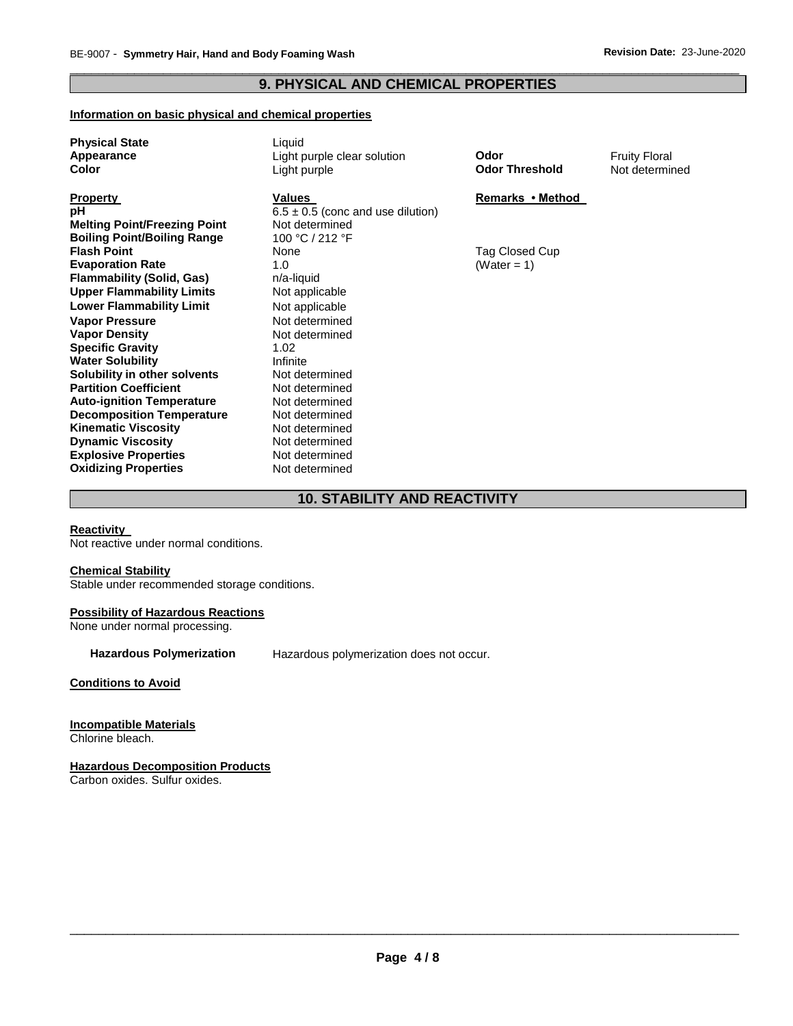# \_\_\_\_\_\_\_\_\_\_\_\_\_\_\_\_\_\_\_\_\_\_\_\_\_\_\_\_\_\_\_\_\_\_\_\_\_\_\_\_\_\_\_\_\_\_\_\_\_\_\_\_\_\_\_\_\_\_\_\_\_\_\_\_\_\_\_\_\_\_\_\_\_\_\_\_\_\_\_\_\_\_\_\_\_\_\_\_\_\_\_\_\_ **9. PHYSICAL AND CHEMICAL PROPERTIES**

# **Information on basic physical and chemical properties**

| <b>Physical State</b>               | Liquid                                |                       |                      |
|-------------------------------------|---------------------------------------|-----------------------|----------------------|
| Appearance                          | Light purple clear solution           | Odor                  | <b>Fruity Floral</b> |
| Color                               | Light purple                          | <b>Odor Threshold</b> | Not determined       |
|                                     |                                       |                       |                      |
| <b>Property</b>                     | Values                                | Remarks • Method      |                      |
| рH                                  | $6.5 \pm 0.5$ (conc and use dilution) |                       |                      |
| <b>Melting Point/Freezing Point</b> | Not determined                        |                       |                      |
| <b>Boiling Point/Boiling Range</b>  | 100 °C / 212 °F                       |                       |                      |
| <b>Flash Point</b>                  | None                                  | Tag Closed Cup        |                      |
| <b>Evaporation Rate</b>             | 1.0                                   | (Water = 1)           |                      |
| <b>Flammability (Solid, Gas)</b>    | n/a-liquid                            |                       |                      |
| <b>Upper Flammability Limits</b>    | Not applicable                        |                       |                      |
| <b>Lower Flammability Limit</b>     | Not applicable                        |                       |                      |
| <b>Vapor Pressure</b>               | Not determined                        |                       |                      |
| <b>Vapor Density</b>                | Not determined                        |                       |                      |
| <b>Specific Gravity</b>             | 1.02                                  |                       |                      |
| <b>Water Solubility</b>             | Infinite                              |                       |                      |
| Solubility in other solvents        | Not determined                        |                       |                      |
| <b>Partition Coefficient</b>        | Not determined                        |                       |                      |
| <b>Auto-ignition Temperature</b>    | Not determined                        |                       |                      |
| <b>Decomposition Temperature</b>    | Not determined                        |                       |                      |
| <b>Kinematic Viscosity</b>          | Not determined                        |                       |                      |
| <b>Dynamic Viscosity</b>            | Not determined                        |                       |                      |
| <b>Explosive Properties</b>         | Not determined                        |                       |                      |
| <b>Oxidizing Properties</b>         | Not determined                        |                       |                      |

# **10. STABILITY AND REACTIVITY**

# **Reactivity**

Not reactive under normal conditions.

#### **Chemical Stability**

Stable under recommended storage conditions.

# **Possibility of Hazardous Reactions**

None under normal processing.

**Hazardous Polymerization** Hazardous polymerization does not occur.

**Conditions to Avoid**

## **Incompatible Materials**

Chlorine bleach.

# **Hazardous Decomposition Products**

Carbon oxides. Sulfur oxides.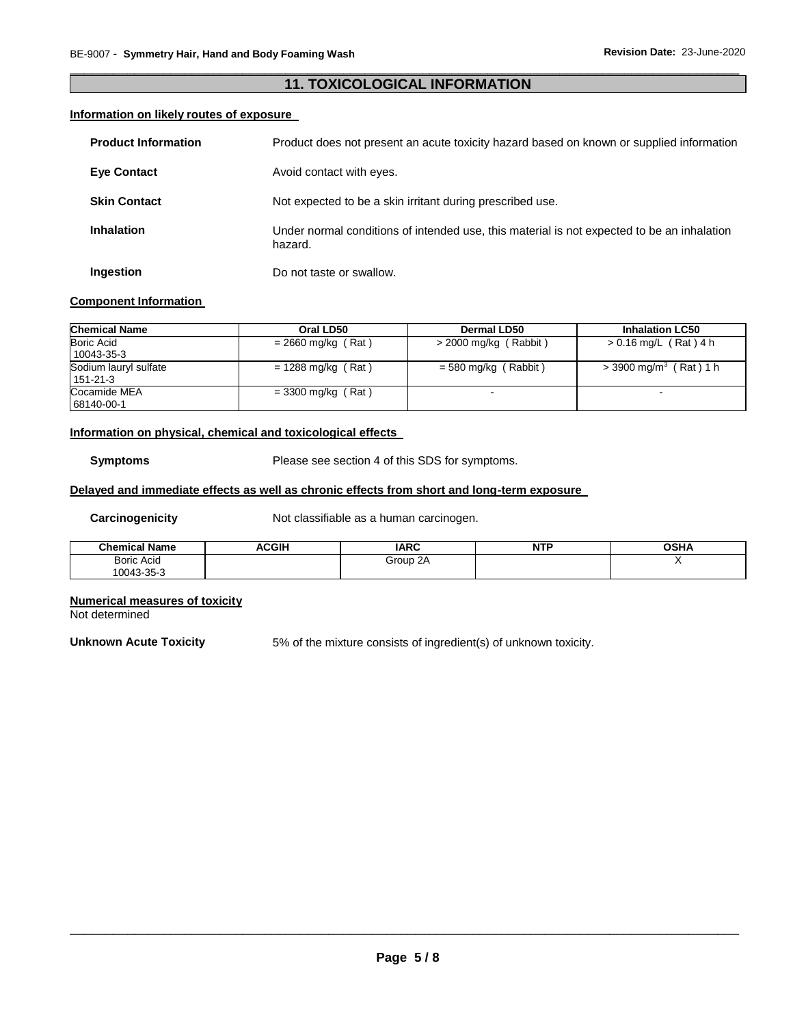# \_\_\_\_\_\_\_\_\_\_\_\_\_\_\_\_\_\_\_\_\_\_\_\_\_\_\_\_\_\_\_\_\_\_\_\_\_\_\_\_\_\_\_\_\_\_\_\_\_\_\_\_\_\_\_\_\_\_\_\_\_\_\_\_\_\_\_\_\_\_\_\_\_\_\_\_\_\_\_\_\_\_\_\_\_\_\_\_\_\_\_\_\_ **11. TOXICOLOGICAL INFORMATION**

# **Information on likely routes of exposure**

| <b>Product Information</b> | Product does not present an acute toxicity hazard based on known or supplied information              |
|----------------------------|-------------------------------------------------------------------------------------------------------|
| <b>Eve Contact</b>         | Avoid contact with eyes.                                                                              |
| <b>Skin Contact</b>        | Not expected to be a skin irritant during prescribed use.                                             |
| <b>Inhalation</b>          | Under normal conditions of intended use, this material is not expected to be an inhalation<br>hazard. |
| Ingestion                  | Do not taste or swallow.                                                                              |

# **Component Information**

| <b>Chemical Name</b>  | Oral LD50            | Dermal LD50            | <b>Inhalation LC50</b>               |
|-----------------------|----------------------|------------------------|--------------------------------------|
| <b>Boric Acid</b>     | $= 2660$ mg/kg (Rat) | > 2000 mg/kg (Rabbit)  | > 0.16 mg/L (Rat) 4 h                |
| 10043-35-3            |                      |                        |                                      |
| Sodium lauryl sulfate | $= 1288$ mg/kg (Rat) | $=$ 580 mg/kg (Rabbit) | $>$ 3900 mg/m <sup>3</sup> (Rat) 1 h |
| $151 - 21 - 3$        |                      |                        |                                      |
| Cocamide MEA          | $=$ 3300 mg/kg (Rat) |                        |                                      |
| 68140-00-1            |                      |                        |                                      |

# **Information on physical, chemical and toxicological effects**

**Symptoms** Please see section 4 of this SDS for symptoms.

# **Delayed and immediate effects as well as chronic effects from short and long-term exposure**

**Carcinogenicity Not classifiable as a human carcinogen.** 

| <b>Chemical Name</b> | <b>ACGIH</b> | <b>IARC</b> | NTF | OSHA |
|----------------------|--------------|-------------|-----|------|
| <b>Boric Acid</b>    |              | Group 2A    |     |      |
| 10043-35-3           |              |             |     |      |

## **Numerical measures of toxicity**

Not determined

**Unknown Acute Toxicity** 5% of the mixture consists of ingredient(s) of unknown toxicity.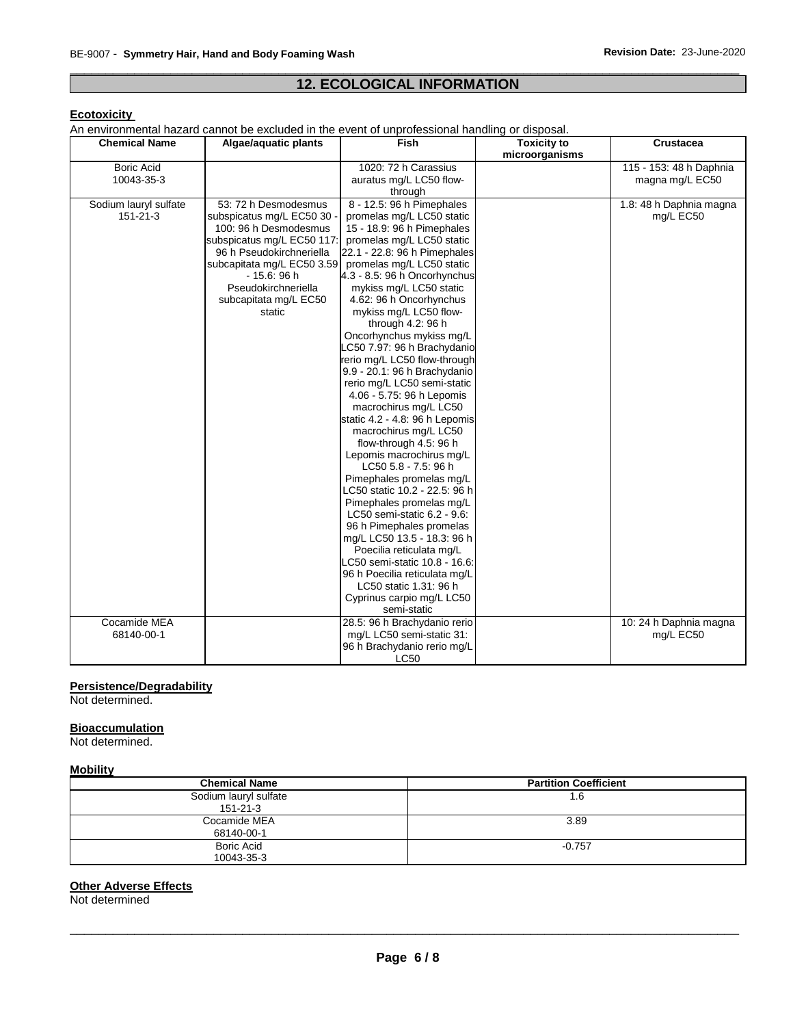# \_\_\_\_\_\_\_\_\_\_\_\_\_\_\_\_\_\_\_\_\_\_\_\_\_\_\_\_\_\_\_\_\_\_\_\_\_\_\_\_\_\_\_\_\_\_\_\_\_\_\_\_\_\_\_\_\_\_\_\_\_\_\_\_\_\_\_\_\_\_\_\_\_\_\_\_\_\_\_\_\_\_\_\_\_\_\_\_\_\_\_\_\_ **12. ECOLOGICAL INFORMATION**

# **Ecotoxicity**

An environmental hazard cannot be excluded in the event of unprofessional handling or disposal.

| <b>Chemical Name</b>  | Algae/aquatic plants       | <b>Fish</b>                    | <b>Toxicity to</b> | <b>Crustacea</b>        |
|-----------------------|----------------------------|--------------------------------|--------------------|-------------------------|
|                       |                            |                                | microorganisms     |                         |
| <b>Boric Acid</b>     |                            | 1020: 72 h Carassius           |                    | 115 - 153: 48 h Daphnia |
| 10043-35-3            |                            | auratus mg/L LC50 flow-        |                    | magna mg/L EC50         |
|                       |                            | through                        |                    |                         |
| Sodium lauryl sulfate | 53: 72 h Desmodesmus       | 8 - 12.5: 96 h Pimephales      |                    | 1.8: 48 h Daphnia magna |
| 151-21-3              | subspicatus mg/L EC50 30   | promelas mg/L LC50 static      |                    | mg/L EC50               |
|                       | 100: 96 h Desmodesmus      | 15 - 18.9: 96 h Pimephales     |                    |                         |
|                       | subspicatus mg/L EC50 117: | promelas mg/L LC50 static      |                    |                         |
|                       | 96 h Pseudokirchneriella   | 22.1 - 22.8: 96 h Pimephales   |                    |                         |
|                       | subcapitata mg/L EC50 3.59 | promelas mg/L LC50 static      |                    |                         |
|                       | $-15.6:96h$                | 4.3 - 8.5: 96 h Oncorhynchus   |                    |                         |
|                       | Pseudokirchneriella        | mykiss mg/L LC50 static        |                    |                         |
|                       | subcapitata mg/L EC50      | 4.62: 96 h Oncorhynchus        |                    |                         |
|                       | static                     | mykiss mg/L LC50 flow-         |                    |                         |
|                       |                            | through 4.2: 96 h              |                    |                         |
|                       |                            | Oncorhynchus mykiss mg/L       |                    |                         |
|                       |                            | LC50 7.97: 96 h Brachydanio    |                    |                         |
|                       |                            | rerio mg/L LC50 flow-through   |                    |                         |
|                       |                            | 9.9 - 20.1: 96 h Brachydanio   |                    |                         |
|                       |                            | rerio mg/L LC50 semi-static    |                    |                         |
|                       |                            | 4.06 - 5.75: 96 h Lepomis      |                    |                         |
|                       |                            | macrochirus mg/L LC50          |                    |                         |
|                       |                            | static 4.2 - 4.8: 96 h Lepomis |                    |                         |
|                       |                            | macrochirus mg/L LC50          |                    |                         |
|                       |                            | flow-through 4.5: 96 h         |                    |                         |
|                       |                            | Lepomis macrochirus mg/L       |                    |                         |
|                       |                            | LC50 5.8 - 7.5: 96 h           |                    |                         |
|                       |                            | Pimephales promelas mg/L       |                    |                         |
|                       |                            | LC50 static 10.2 - 22.5: 96 h  |                    |                         |
|                       |                            | Pimephales promelas mg/L       |                    |                         |
|                       |                            | LC50 semi-static 6.2 - 9.6.    |                    |                         |
|                       |                            | 96 h Pimephales promelas       |                    |                         |
|                       |                            | mg/L LC50 13.5 - 18.3: 96 h    |                    |                         |
|                       |                            | Poecilia reticulata mg/L       |                    |                         |
|                       |                            | LC50 semi-static 10.8 - 16.6:  |                    |                         |
|                       |                            | 96 h Poecilia reticulata mg/L  |                    |                         |
|                       |                            | LC50 static 1.31: 96 h         |                    |                         |
|                       |                            | Cyprinus carpio mg/L LC50      |                    |                         |
|                       |                            | semi-static                    |                    |                         |
| Cocamide MEA          |                            | 28.5: 96 h Brachydanio rerio   |                    | 10: 24 h Daphnia magna  |
| 68140-00-1            |                            | mg/L LC50 semi-static 31:      |                    | mg/L EC50               |
|                       |                            | 96 h Brachydanio rerio mg/L    |                    |                         |
|                       |                            | LC50                           |                    |                         |

# **Persistence/Degradability**

Not determined.

#### **Bioaccumulation**

Not determined.

#### **Mobility**

| <b>Chemical Name</b>                    | <b>Partition Coefficient</b> |
|-----------------------------------------|------------------------------|
| Sodium lauryl sulfate<br>$151 - 21 - 3$ | 1.6                          |
| Cocamide MEA<br>68140-00-1              | 3.89                         |
| <b>Boric Acid</b><br>10043-35-3         | $-0.757$                     |

## **Other Adverse Effects**

Not determined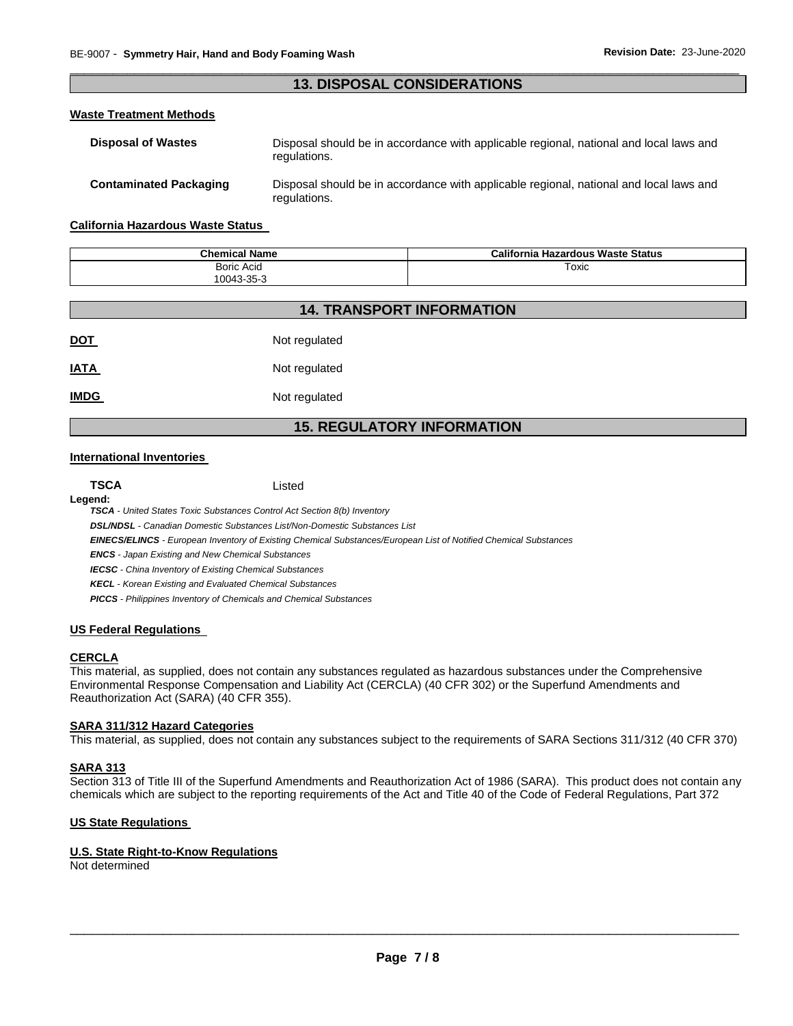# \_\_\_\_\_\_\_\_\_\_\_\_\_\_\_\_\_\_\_\_\_\_\_\_\_\_\_\_\_\_\_\_\_\_\_\_\_\_\_\_\_\_\_\_\_\_\_\_\_\_\_\_\_\_\_\_\_\_\_\_\_\_\_\_\_\_\_\_\_\_\_\_\_\_\_\_\_\_\_\_\_\_\_\_\_\_\_\_\_\_\_\_\_ **13. DISPOSAL CONSIDERATIONS**

# **Waste Treatment Methods**

| <b>Disposal of Wastes</b>     | Disposal should be in accordance with applicable regional, national and local laws and<br>regulations. |
|-------------------------------|--------------------------------------------------------------------------------------------------------|
| <b>Contaminated Packaging</b> | Disposal should be in accordance with applicable regional, national and local laws and<br>regulations. |

#### **California Hazardous Waste Status**

| <b>Chemical Name</b> | California Hazardous Waste Status |
|----------------------|-----------------------------------|
| <b>Boric Acid</b>    | Toxic                             |
| 10043-35-3           |                                   |

| <b>14. TRANSPORT INFORMATION</b>  |               |  |
|-----------------------------------|---------------|--|
| <u>DOT</u>                        | Not regulated |  |
| <b>IATA</b>                       | Not regulated |  |
| <b>IMDG</b>                       | Not regulated |  |
| <b>15. REGULATORY INFORMATION</b> |               |  |

*of Notified Chemical Substances* 

#### **International Inventories**

| <b>TSCA</b> | Listed                                                                                  |
|-------------|-----------------------------------------------------------------------------------------|
| Legend:     |                                                                                         |
|             | <b>TSCA</b> - United States Toxic Substances Control Act Section 8(b) Inventory         |
|             | <b>DSL/NDSL</b> - Canadian Domestic Substances List/Non-Domestic Substances List        |
|             | <b>EINECS/ELINCS</b> - European Inventory of Existing Chemical Substances/European List |
|             | <b>ENCS</b> - Japan Existing and New Chemical Substances                                |
|             | <b>IECSC</b> - China Inventory of Existing Chemical Substances                          |

*KECL - Korean Existing and Evaluated Chemical Substances* 

*PICCS - Philippines Inventory of Chemicals and Chemical Substances* 

#### **US Federal Regulations**

# **CERCLA**

This material, as supplied, does not contain any substances regulated as hazardous substances under the Comprehensive Environmental Response Compensation and Liability Act (CERCLA) (40 CFR 302) or the Superfund Amendments and Reauthorization Act (SARA) (40 CFR 355).

# **SARA 311/312 Hazard Categories**

This material, as supplied, does not contain any substances subject to the requirements of SARA Sections 311/312 (40 CFR 370)

#### **SARA 313**

Section 313 of Title III of the Superfund Amendments and Reauthorization Act of 1986 (SARA). This product does not contain any chemicals which are subject to the reporting requirements of the Act and Title 40 of the Code of Federal Regulations, Part 372

# **US State Regulations**

## **U.S. State Right-to-Know Regulations**

Not determined